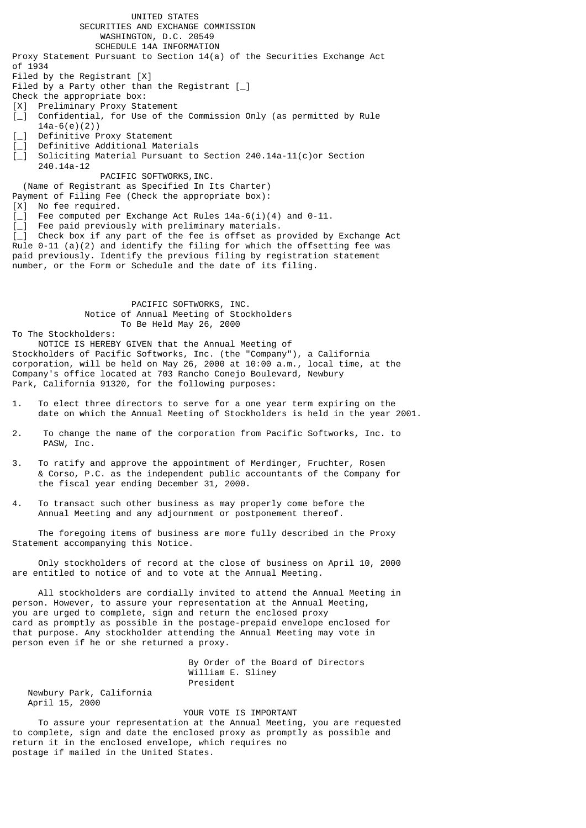UNITED STATES SECURITIES AND EXCHANGE COMMISSION WASHINGTON, D.C. 20549 SCHEDULE 14A INFORMATION Proxy Statement Pursuant to Section 14(a) of the Securities Exchange Act of 1934 Filed by the Registrant [X] Filed by a Party other than the Registrant  $\lceil \_ \rceil$ Check the appropriate box: [X] Preliminary Proxy Statement [\_] Confidential, for Use of the Commission Only (as permitted by Rule 14a-6(e)(2)) Definitive Proxy Statement Definitive Additional Materials Soliciting Material Pursuant to Section 240.14a-11(c)or Section 240.14a-12 PACIFIC SOFTWORKS, INC. (Name of Registrant as Specified In Its Charter) Payment of Filing Fee (Check the appropriate box): [X] No fee required.  $[\_]$  Fee computed per Exchange Act Rules 14a-6(i)(4) and 0-11. Fee paid previously with preliminary materials.  $\begin{bmatrix} -1 \\ 1 \end{bmatrix}$  Check box if any part of the fee is offset as provided by Exchange Act Rule 0-11 (a)(2) and identify the filing for which the offsetting fee was paid previously. Identify the previous filing by registration statement number, or the Form or Schedule and the date of its filing.

 PACIFIC SOFTWORKS, INC. Notice of Annual Meeting of Stockholders To Be Held May 26, 2000

To The Stockholders:

 NOTICE IS HEREBY GIVEN that the Annual Meeting of Stockholders of Pacific Softworks, Inc. (the "Company"), a California corporation, will be held on May 26, 2000 at 10:00 a.m., local time, at the Company's office located at 703 Rancho Conejo Boulevard, Newbury Park, California 91320, for the following purposes:

- 1. To elect three directors to serve for a one year term expiring on the date on which the Annual Meeting of Stockholders is held in the year 2001.
- 2. To change the name of the corporation from Pacific Softworks, Inc. to PASW, Inc.
- 3. To ratify and approve the appointment of Merdinger, Fruchter, Rosen & Corso, P.C. as the independent public accountants of the Company for the fiscal year ending December 31, 2000.
- 4. To transact such other business as may properly come before the Annual Meeting and any adjournment or postponement thereof.

 The foregoing items of business are more fully described in the Proxy Statement accompanying this Notice.

 Only stockholders of record at the close of business on April 10, 2000 are entitled to notice of and to vote at the Annual Meeting.

 All stockholders are cordially invited to attend the Annual Meeting in person. However, to assure your representation at the Annual Meeting, you are urged to complete, sign and return the enclosed proxy card as promptly as possible in the postage-prepaid envelope enclosed for that purpose. Any stockholder attending the Annual Meeting may vote in person even if he or she returned a proxy.

> By Order of the Board of Directors William E. Sliney President

 Newbury Park, California April 15, 2000

YOUR VOTE IS IMPORTANT

 To assure your representation at the Annual Meeting, you are requested to complete, sign and date the enclosed proxy as promptly as possible and return it in the enclosed envelope, which requires no postage if mailed in the United States.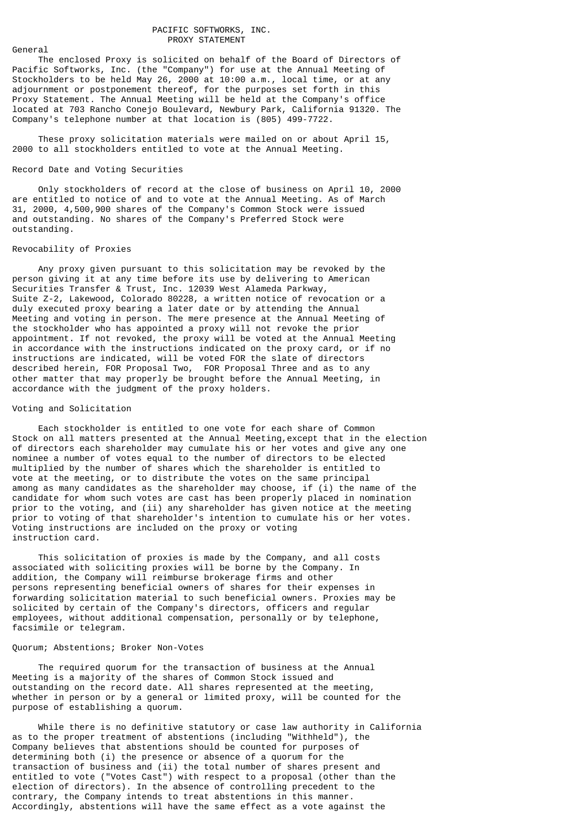#### PACIFIC SOFTWORKS, INC. PROXY STATEMENT

General

 The enclosed Proxy is solicited on behalf of the Board of Directors of Pacific Softworks, Inc. (the "Company") for use at the Annual Meeting of Stockholders to be held May 26, 2000 at 10:00 a.m., local time, or at any adjournment or postponement thereof, for the purposes set forth in this Proxy Statement. The Annual Meeting will be held at the Company's office located at 703 Rancho Conejo Boulevard, Newbury Park, California 91320. The Company's telephone number at that location is (805) 499-7722.

 These proxy solicitation materials were mailed on or about April 15, 2000 to all stockholders entitled to vote at the Annual Meeting.

## Record Date and Voting Securities

 Only stockholders of record at the close of business on April 10, 2000 are entitled to notice of and to vote at the Annual Meeting. As of March 31, 2000, 4,500,900 shares of the Company's Common Stock were issued and outstanding. No shares of the Company's Preferred Stock were outstanding.

## Revocability of Proxies

 Any proxy given pursuant to this solicitation may be revoked by the person giving it at any time before its use by delivering to American Securities Transfer & Trust, Inc. 12039 West Alameda Parkway, Suite Z-2, Lakewood, Colorado 80228, a written notice of revocation or a duly executed proxy bearing a later date or by attending the Annual Meeting and voting in person. The mere presence at the Annual Meeting of the stockholder who has appointed a proxy will not revoke the prior appointment. If not revoked, the proxy will be voted at the Annual Meeting in accordance with the instructions indicated on the proxy card, or if no instructions are indicated, will be voted FOR the slate of directors described herein, FOR Proposal Two, FOR Proposal Three and as to any other matter that may properly be brought before the Annual Meeting, in accordance with the judgment of the proxy holders.

#### Voting and Solicitation

 Each stockholder is entitled to one vote for each share of Common Stock on all matters presented at the Annual Meeting,except that in the election of directors each shareholder may cumulate his or her votes and give any one nominee a number of votes equal to the number of directors to be elected multiplied by the number of shares which the shareholder is entitled to vote at the meeting, or to distribute the votes on the same principal among as many candidates as the shareholder may choose, if (i) the name of the candidate for whom such votes are cast has been properly placed in nomination prior to the voting, and (ii) any shareholder has given notice at the meeting prior to voting of that shareholder's intention to cumulate his or her votes. Voting instructions are included on the proxy or voting instruction card.

 This solicitation of proxies is made by the Company, and all costs associated with soliciting proxies will be borne by the Company. In addition, the Company will reimburse brokerage firms and other persons representing beneficial owners of shares for their expenses in forwarding solicitation material to such beneficial owners. Proxies may be solicited by certain of the Company's directors, officers and regular employees, without additional compensation, personally or by telephone, facsimile or telegram.

#### Quorum; Abstentions; Broker Non-Votes

 The required quorum for the transaction of business at the Annual Meeting is a majority of the shares of Common Stock issued and outstanding on the record date. All shares represented at the meeting, whether in person or by a general or limited proxy, will be counted for the purpose of establishing a quorum.

 While there is no definitive statutory or case law authority in California as to the proper treatment of abstentions (including "Withheld"), the Company believes that abstentions should be counted for purposes of determining both (i) the presence or absence of a quorum for the transaction of business and (ii) the total number of shares present and entitled to vote ("Votes Cast") with respect to a proposal (other than the election of directors). In the absence of controlling precedent to the contrary, the Company intends to treat abstentions in this manner. Accordingly, abstentions will have the same effect as a vote against the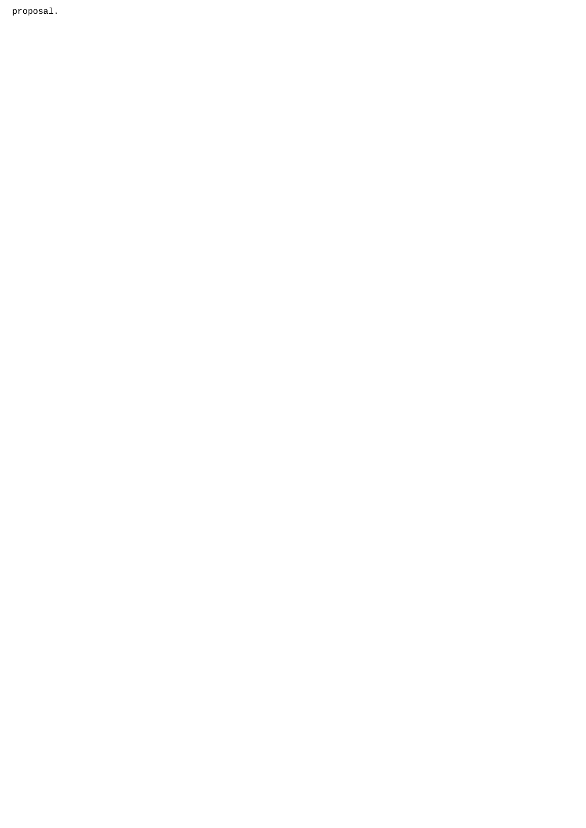proposal.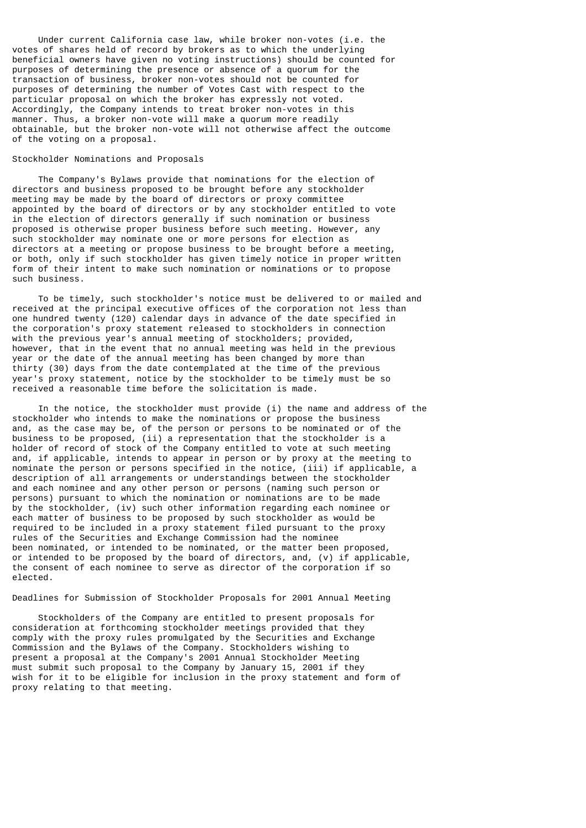Under current California case law, while broker non-votes (i.e. the votes of shares held of record by brokers as to which the underlying beneficial owners have given no voting instructions) should be counted for purposes of determining the presence or absence of a quorum for the transaction of business, broker non-votes should not be counted for purposes of determining the number of Votes Cast with respect to the particular proposal on which the broker has expressly not voted. Accordingly, the Company intends to treat broker non-votes in this manner. Thus, a broker non-vote will make a quorum more readily obtainable, but the broker non-vote will not otherwise affect the outcome of the voting on a proposal.

## Stockholder Nominations and Proposals

 The Company's Bylaws provide that nominations for the election of directors and business proposed to be brought before any stockholder meeting may be made by the board of directors or proxy committee appointed by the board of directors or by any stockholder entitled to vote in the election of directors generally if such nomination or business proposed is otherwise proper business before such meeting. However, any such stockholder may nominate one or more persons for election as directors at a meeting or propose business to be brought before a meeting, or both, only if such stockholder has given timely notice in proper written form of their intent to make such nomination or nominations or to propose such business.

 To be timely, such stockholder's notice must be delivered to or mailed and received at the principal executive offices of the corporation not less than one hundred twenty (120) calendar days in advance of the date specified in the corporation's proxy statement released to stockholders in connection with the previous year's annual meeting of stockholders; provided, however, that in the event that no annual meeting was held in the previous year or the date of the annual meeting has been changed by more than thirty (30) days from the date contemplated at the time of the previous year's proxy statement, notice by the stockholder to be timely must be so received a reasonable time before the solicitation is made.

 In the notice, the stockholder must provide (i) the name and address of the stockholder who intends to make the nominations or propose the business and, as the case may be, of the person or persons to be nominated or of the business to be proposed, (ii) a representation that the stockholder is a holder of record of stock of the Company entitled to vote at such meeting and, if applicable, intends to appear in person or by proxy at the meeting to nominate the person or persons specified in the notice, (iii) if applicable, a description of all arrangements or understandings between the stockholder and each nominee and any other person or persons (naming such person or persons) pursuant to which the nomination or nominations are to be made by the stockholder, (iv) such other information regarding each nominee or each matter of business to be proposed by such stockholder as would be required to be included in a proxy statement filed pursuant to the proxy rules of the Securities and Exchange Commission had the nominee been nominated, or intended to be nominated, or the matter been proposed, or intended to be proposed by the board of directors, and, (v) if applicable, the consent of each nominee to serve as director of the corporation if so elected.

## Deadlines for Submission of Stockholder Proposals for 2001 Annual Meeting

 Stockholders of the Company are entitled to present proposals for consideration at forthcoming stockholder meetings provided that they comply with the proxy rules promulgated by the Securities and Exchange Commission and the Bylaws of the Company. Stockholders wishing to present a proposal at the Company's 2001 Annual Stockholder Meeting must submit such proposal to the Company by January 15, 2001 if they wish for it to be eligible for inclusion in the proxy statement and form of proxy relating to that meeting.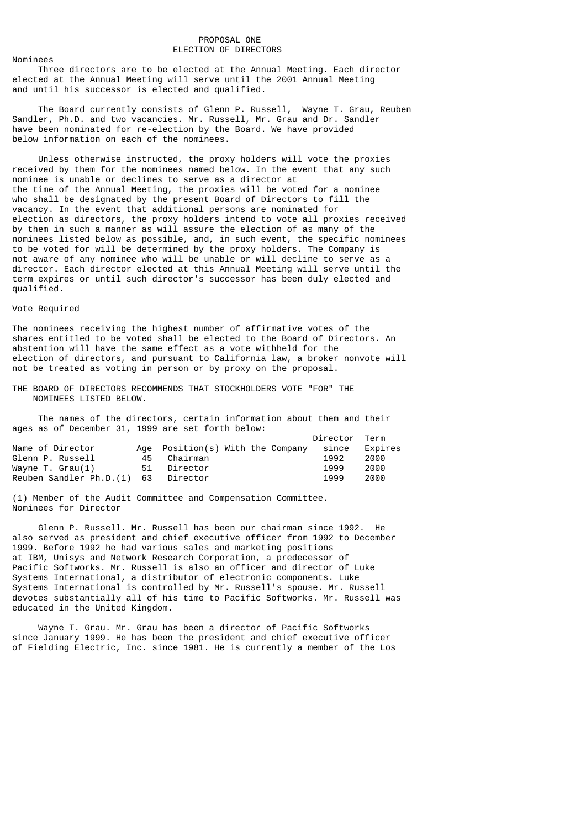## PROPOSAL ONE ELECTION OF DIRECTORS

#### Nominees

 Three directors are to be elected at the Annual Meeting. Each director elected at the Annual Meeting will serve until the 2001 Annual Meeting and until his successor is elected and qualified.

 The Board currently consists of Glenn P. Russell, Wayne T. Grau, Reuben Sandler, Ph.D. and two vacancies. Mr. Russell, Mr. Grau and Dr. Sandler have been nominated for re-election by the Board. We have provided below information on each of the nominees.

 Unless otherwise instructed, the proxy holders will vote the proxies received by them for the nominees named below. In the event that any such nominee is unable or declines to serve as a director at the time of the Annual Meeting, the proxies will be voted for a nominee who shall be designated by the present Board of Directors to fill the vacancy. In the event that additional persons are nominated for election as directors, the proxy holders intend to vote all proxies received by them in such a manner as will assure the election of as many of the nominees listed below as possible, and, in such event, the specific nominees to be voted for will be determined by the proxy holders. The Company is not aware of any nominee who will be unable or will decline to serve as a director. Each director elected at this Annual Meeting will serve until the term expires or until such director's successor has been duly elected and qualified.

## Vote Required

The nominees receiving the highest number of affirmative votes of the shares entitled to be voted shall be elected to the Board of Directors. An abstention will have the same effect as a vote withheld for the election of directors, and pursuant to California law, a broker nonvote will not be treated as voting in person or by proxy on the proposal.

THE BOARD OF DIRECTORS RECOMMENDS THAT STOCKHOLDERS VOTE "FOR" THE NOMINEES LISTED BELOW.

 The names of the directors, certain information about them and their ages as of December 31, 1999 are set forth below:

|                                     |    |                                  | Director Term |         |
|-------------------------------------|----|----------------------------------|---------------|---------|
| Name of Director                    |    | Age Position(s) With the Company | since         | Expires |
| Glenn P. Russell                    | 45 | Chairman                         | 1992          | 2000    |
| Wayne T. Grau(1)                    | 51 | Director                         | 1999          | 2000    |
| Reuben Sandler Ph.D.(1) 63 Director |    |                                  | 1999          | 2000    |

(1) Member of the Audit Committee and Compensation Committee. Nominees for Director

 Glenn P. Russell. Mr. Russell has been our chairman since 1992. He also served as president and chief executive officer from 1992 to December 1999. Before 1992 he had various sales and marketing positions at IBM, Unisys and Network Research Corporation, a predecessor of Pacific Softworks. Mr. Russell is also an officer and director of Luke Systems International, a distributor of electronic components. Luke Systems International is controlled by Mr. Russell's spouse. Mr. Russell devotes substantially all of his time to Pacific Softworks. Mr. Russell was educated in the United Kingdom.

 Wayne T. Grau. Mr. Grau has been a director of Pacific Softworks since January 1999. He has been the president and chief executive officer of Fielding Electric, Inc. since 1981. He is currently a member of the Los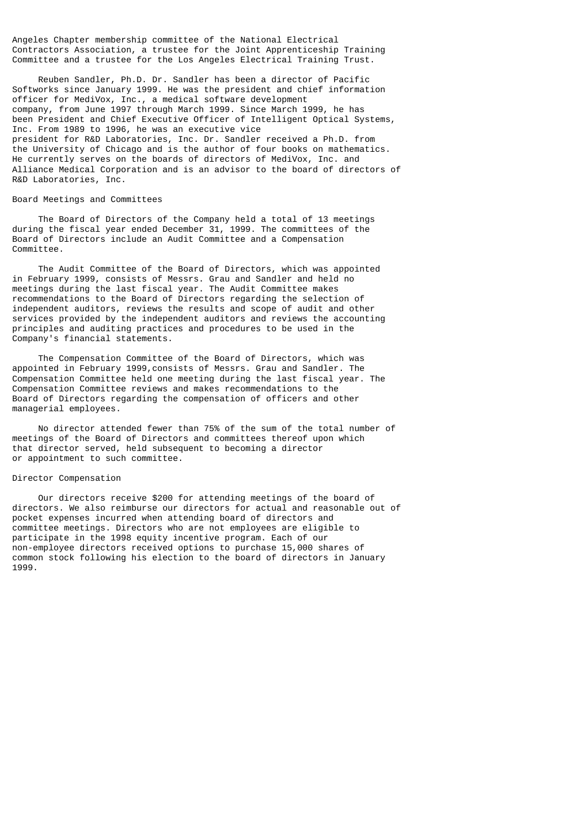Angeles Chapter membership committee of the National Electrical Contractors Association, a trustee for the Joint Apprenticeship Training Committee and a trustee for the Los Angeles Electrical Training Trust.

 Reuben Sandler, Ph.D. Dr. Sandler has been a director of Pacific Softworks since January 1999. He was the president and chief information officer for MediVox, Inc., a medical software development company, from June 1997 through March 1999. Since March 1999, he has been President and Chief Executive Officer of Intelligent Optical Systems, Inc. From 1989 to 1996, he was an executive vice president for R&D Laboratories, Inc. Dr. Sandler received a Ph.D. from the University of Chicago and is the author of four books on mathematics. He currently serves on the boards of directors of MediVox, Inc. and Alliance Medical Corporation and is an advisor to the board of directors of R&D Laboratories, Inc.

## Board Meetings and Committees

 The Board of Directors of the Company held a total of 13 meetings during the fiscal year ended December 31, 1999. The committees of the Board of Directors include an Audit Committee and a Compensation Committee.

 The Audit Committee of the Board of Directors, which was appointed in February 1999, consists of Messrs. Grau and Sandler and held no meetings during the last fiscal year. The Audit Committee makes recommendations to the Board of Directors regarding the selection of independent auditors, reviews the results and scope of audit and other services provided by the independent auditors and reviews the accounting principles and auditing practices and procedures to be used in the Company's financial statements.

 The Compensation Committee of the Board of Directors, which was appointed in February 1999,consists of Messrs. Grau and Sandler. The Compensation Committee held one meeting during the last fiscal year. The Compensation Committee reviews and makes recommendations to the Board of Directors regarding the compensation of officers and other managerial employees.

 No director attended fewer than 75% of the sum of the total number of meetings of the Board of Directors and committees thereof upon which that director served, held subsequent to becoming a director or appointment to such committee.

## Director Compensation

 Our directors receive \$200 for attending meetings of the board of directors. We also reimburse our directors for actual and reasonable out of pocket expenses incurred when attending board of directors and committee meetings. Directors who are not employees are eligible to participate in the 1998 equity incentive program. Each of our non-employee directors received options to purchase 15,000 shares of common stock following his election to the board of directors in January 1999.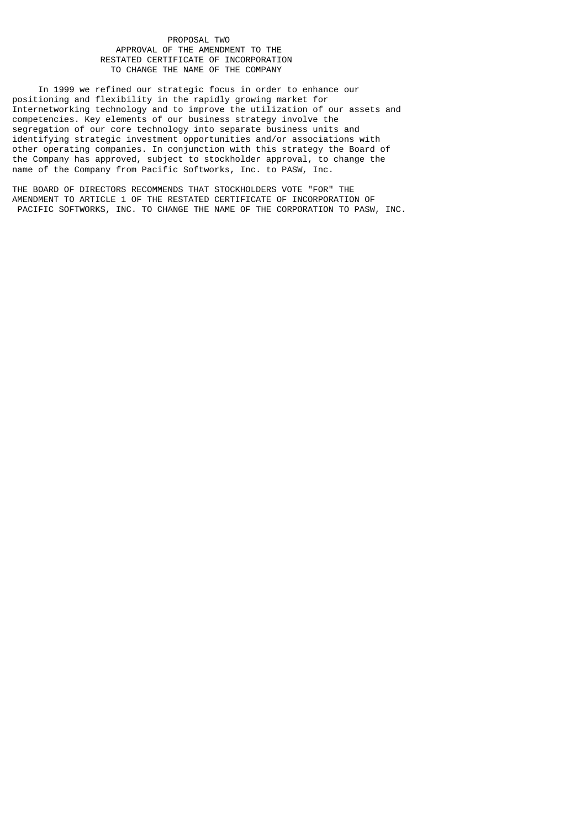## PROPOSAL TWO APPROVAL OF THE AMENDMENT TO THE RESTATED CERTIFICATE OF INCORPORATION TO CHANGE THE NAME OF THE COMPANY

 In 1999 we refined our strategic focus in order to enhance our positioning and flexibility in the rapidly growing market for Internetworking technology and to improve the utilization of our assets and competencies. Key elements of our business strategy involve the segregation of our core technology into separate business units and identifying strategic investment opportunities and/or associations with other operating companies. In conjunction with this strategy the Board of the Company has approved, subject to stockholder approval, to change the name of the Company from Pacific Softworks, Inc. to PASW, Inc.

THE BOARD OF DIRECTORS RECOMMENDS THAT STOCKHOLDERS VOTE "FOR" THE AMENDMENT TO ARTICLE 1 OF THE RESTATED CERTIFICATE OF INCORPORATION OF PACIFIC SOFTWORKS, INC. TO CHANGE THE NAME OF THE CORPORATION TO PASW, INC.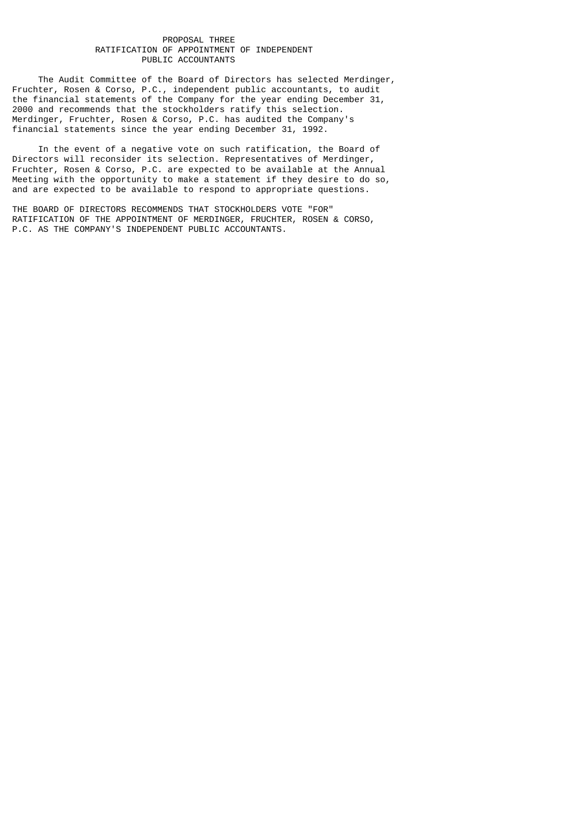# PROPOSAL THREE RATIFICATION OF APPOINTMENT OF INDEPENDENT PUBLIC ACCOUNTANTS

 The Audit Committee of the Board of Directors has selected Merdinger, Fruchter, Rosen & Corso, P.C., independent public accountants, to audit the financial statements of the Company for the year ending December 31, 2000 and recommends that the stockholders ratify this selection. Merdinger, Fruchter, Rosen & Corso, P.C. has audited the Company's financial statements since the year ending December 31, 1992.

 In the event of a negative vote on such ratification, the Board of Directors will reconsider its selection. Representatives of Merdinger, Fruchter, Rosen & Corso, P.C. are expected to be available at the Annual Meeting with the opportunity to make a statement if they desire to do so, and are expected to be available to respond to appropriate questions.

THE BOARD OF DIRECTORS RECOMMENDS THAT STOCKHOLDERS VOTE "FOR" RATIFICATION OF THE APPOINTMENT OF MERDINGER, FRUCHTER, ROSEN & CORSO, P.C. AS THE COMPANY'S INDEPENDENT PUBLIC ACCOUNTANTS.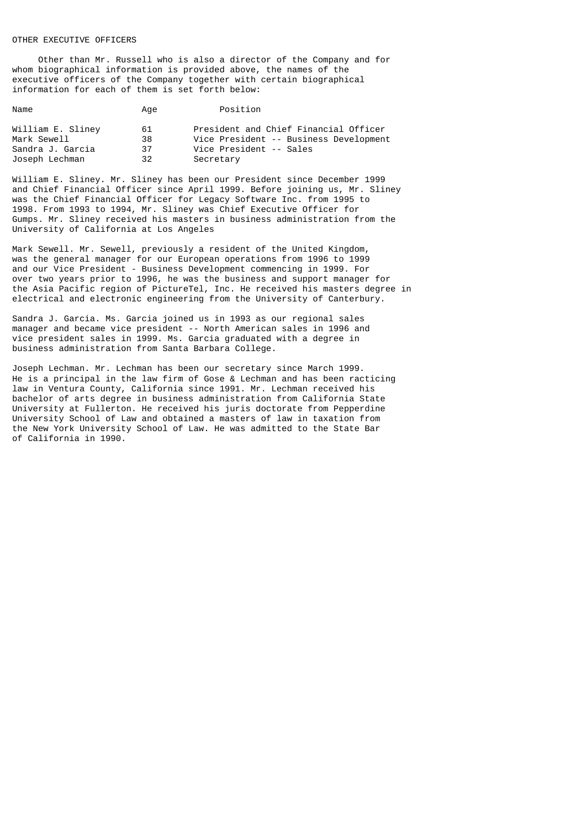# OTHER EXECUTIVE OFFICERS

 Other than Mr. Russell who is also a director of the Company and for whom biographical information is provided above, the names of the executive officers of the Company together with certain biographical information for each of them is set forth below:

| Name                             | Age      | Position                                                                        |
|----------------------------------|----------|---------------------------------------------------------------------------------|
| William E. Sliney<br>Mark Sewell | 61<br>38 | President and Chief Financial Officer<br>Vice President -- Business Development |
| Sandra J. Garcia                 | 37       | Vice President -- Sales                                                         |
| Joseph Lechman                   | 32       | Secretary                                                                       |

William E. Sliney. Mr. Sliney has been our President since December 1999 and Chief Financial Officer since April 1999. Before joining us, Mr. Sliney was the Chief Financial Officer for Legacy Software Inc. from 1995 to 1998. From 1993 to 1994, Mr. Sliney was Chief Executive Officer for Gumps. Mr. Sliney received his masters in business administration from the University of California at Los Angeles

Mark Sewell. Mr. Sewell, previously a resident of the United Kingdom, was the general manager for our European operations from 1996 to 1999 and our Vice President - Business Development commencing in 1999. For over two years prior to 1996, he was the business and support manager for the Asia Pacific region of PictureTel, Inc. He received his masters degree in electrical and electronic engineering from the University of Canterbury.

Sandra J. Garcia. Ms. Garcia joined us in 1993 as our regional sales manager and became vice president -- North American sales in 1996 and vice president sales in 1999. Ms. Garcia graduated with a degree in business administration from Santa Barbara College.

Joseph Lechman. Mr. Lechman has been our secretary since March 1999. He is a principal in the law firm of Gose & Lechman and has been racticing law in Ventura County, California since 1991. Mr. Lechman received his bachelor of arts degree in business administration from California State University at Fullerton. He received his juris doctorate from Pepperdine University School of Law and obtained a masters of law in taxation from the New York University School of Law. He was admitted to the State Bar of California in 1990.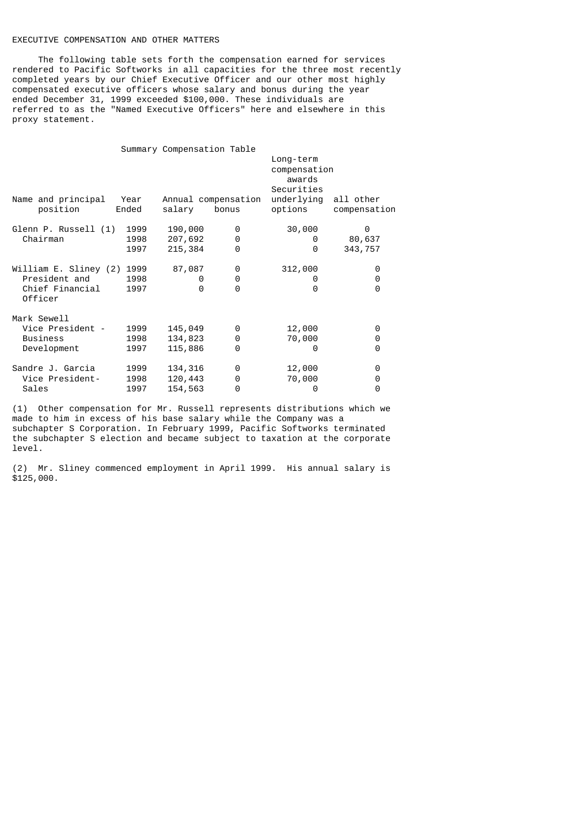# EXECUTIVE COMPENSATION AND OTHER MATTERS

 The following table sets forth the compensation earned for services rendered to Pacific Softworks in all capacities for the three most recently completed years by our Chief Executive Officer and our other most highly compensated executive officers whose salary and bonus during the year ended December 31, 1999 exceeded \$100,000. These individuals are referred to as the "Named Executive Officers" here and elsewhere in this proxy statement.

|                                |               | Summary Compensation Table |                              |                                     |                           |
|--------------------------------|---------------|----------------------------|------------------------------|-------------------------------------|---------------------------|
|                                |               |                            |                              | Long-term<br>compensation<br>awards |                           |
|                                |               |                            |                              | Securities                          |                           |
| Name and principal<br>position | Year<br>Ended | salary                     | Annual compensation<br>bonus | underlying<br>options               | all other<br>compensation |
| Glenn P. Russell (1)           | 1999          | 190,000                    | 0                            | 30,000                              | 0                         |
| Chairman                       | 1998          | 207,692                    | 0                            | 0                                   | 80,637                    |
|                                | 1997          | 215,384                    | $\Theta$                     | 0                                   | 343,757                   |
| William E. Sliney (2) 1999     |               | 87,087                     | 0                            | 312,000                             | 0                         |
| President and                  | 1998          | 0                          | 0                            | 0                                   | 0                         |
| Chief Financial<br>Officer     | 1997          | 0                          | $\Theta$                     | 0                                   | 0                         |
| Mark Sewell                    |               |                            |                              |                                     |                           |
| Vice President -               | 1999          | 145,049                    | 0                            | 12,000                              | 0                         |
| <b>Business</b>                | 1998          | 134,823                    | 0                            | 70,000                              | 0                         |
| Development                    | 1997          | 115,886                    | $\Theta$                     | 0                                   | 0                         |
| Sandre J. Garcia               | 1999          | 134,316                    | 0                            | 12,000                              | 0                         |
| Vice President-                | 1998          | 120,443                    | 0                            | 70,000                              | 0                         |
| Sales                          | 1997          | 154,563                    | 0                            | 0                                   | 0                         |

(1) Other compensation for Mr. Russell represents distributions which we made to him in excess of his base salary while the Company was a subchapter S Corporation. In February 1999, Pacific Softworks terminated the subchapter S election and became subject to taxation at the corporate level.

(2) Mr. Sliney commenced employment in April 1999. His annual salary is  $$125,000.$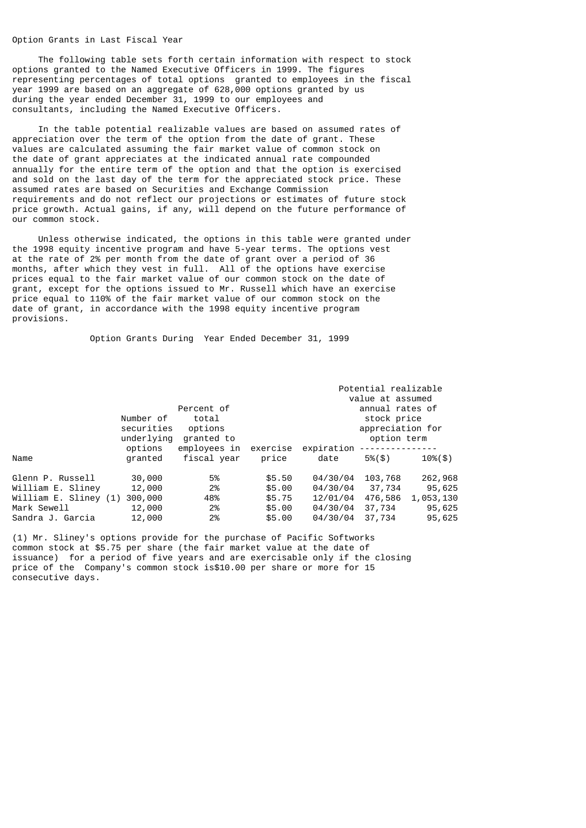# Option Grants in Last Fiscal Year

 The following table sets forth certain information with respect to stock options granted to the Named Executive Officers in 1999. The figures representing percentages of total options granted to employees in the fiscal year 1999 are based on an aggregate of 628,000 options granted by us during the year ended December 31, 1999 to our employees and consultants, including the Named Executive Officers.

 In the table potential realizable values are based on assumed rates of appreciation over the term of the option from the date of grant. These values are calculated assuming the fair market value of common stock on the date of grant appreciates at the indicated annual rate compounded annually for the entire term of the option and that the option is exercised and sold on the last day of the term for the appreciated stock price. These assumed rates are based on Securities and Exchange Commission requirements and do not reflect our projections or estimates of future stock price growth. Actual gains, if any, will depend on the future performance of our common stock.

 Unless otherwise indicated, the options in this table were granted under the 1998 equity incentive program and have 5-year terms. The options vest at the rate of 2% per month from the date of grant over a period of 36 months, after which they vest in full. All of the options have exercise prices equal to the fair market value of our common stock on the date of grant, except for the options issued to Mr. Russell which have an exercise price equal to 110% of the fair market value of our common stock on the date of grant, in accordance with the 1998 equity incentive program provisions.

Option Grants During Year Ended December 31, 1999

|                       | Number of<br>securities<br>underlying | Percent of<br>total<br>options<br>granted to |          |            | Potential realizable<br>value at assumed<br>annual rates of<br>stock price<br>appreciation for<br>option term |                |
|-----------------------|---------------------------------------|----------------------------------------------|----------|------------|---------------------------------------------------------------------------------------------------------------|----------------|
|                       | options                               | employees in                                 | exercise | expiration |                                                                                                               |                |
| Name                  | granted                               | fiscal vear                                  | price    | date       | $5\%$ $($ \$)                                                                                                 | $10\%$ $($ \$) |
| Glenn P. Russell      | 30,000                                | 5%                                           | \$5.50   | 04/30/04   | 103,768                                                                                                       | 262,968        |
| William E. Sliney     | 12,000                                | 2%                                           | \$5,00   | 04/30/04   | 37,734                                                                                                        | 95,625         |
| William E. Sliney (1) | 300,000                               | 48%                                          | \$5.75   | 12/01/04   | 476,586                                                                                                       | 1,053,130      |
| Mark Sewell           | 12,000                                | 2%                                           | \$5,00   | 04/30/04   | 37,734                                                                                                        | 95,625         |
| Sandra J. Garcia      | 12,000                                | 2%                                           | \$5.00   | 04/30/04   | 37,734                                                                                                        | 95,625         |

(1) Mr. Sliney's options provide for the purchase of Pacific Softworks common stock at \$5.75 per share (the fair market value at the date of issuance) for a period of five years and are exercisable only if the closing price of the Company's common stock is\$10.00 per share or more for 15 consecutive days.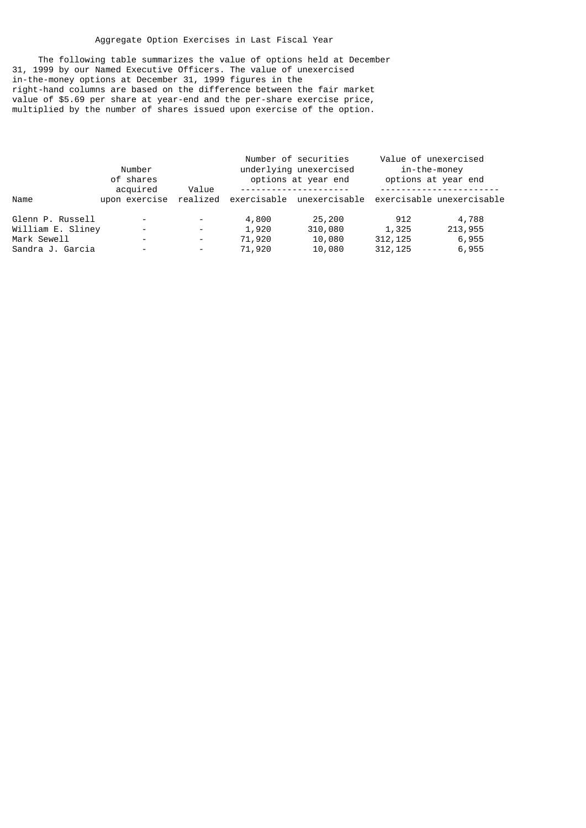# Aggregate Option Exercises in Last Fiscal Year

 The following table summarizes the value of options held at December 31, 1999 by our Named Executive Officers. The value of unexercised in-the-money options at December 31, 1999 figures in the right-hand columns are based on the difference between the fair market value of \$5.69 per share at year-end and the per-share exercise price, multiplied by the number of shares issued upon exercise of the option.

|                   | Number<br>of shares       |                          |        | Number of securities<br>underlying unexercised<br>options at year end | Value of unexercised<br>in-the-money | options at year end |
|-------------------|---------------------------|--------------------------|--------|-----------------------------------------------------------------------|--------------------------------------|---------------------|
| Name              | acquired<br>upon exercise | Value                    |        | realized exercisable unexercisable exercisable unexercisable          |                                      |                     |
| Glenn P. Russell  | $\overline{\phantom{a}}$  |                          | 4,800  | 25,200                                                                | 912                                  | 4,788               |
| William E. Sliney | -                         | -                        | 1,920  | 310,080                                                               | 1,325                                | 213,955             |
| Mark Sewell       | -                         | ۰.                       | 71,920 | 10,080                                                                | 312,125                              | 6,955               |
| Sandra J. Garcia  | -                         | $\overline{\phantom{a}}$ | 71,920 | 10,080                                                                | 312, 125                             | 6,955               |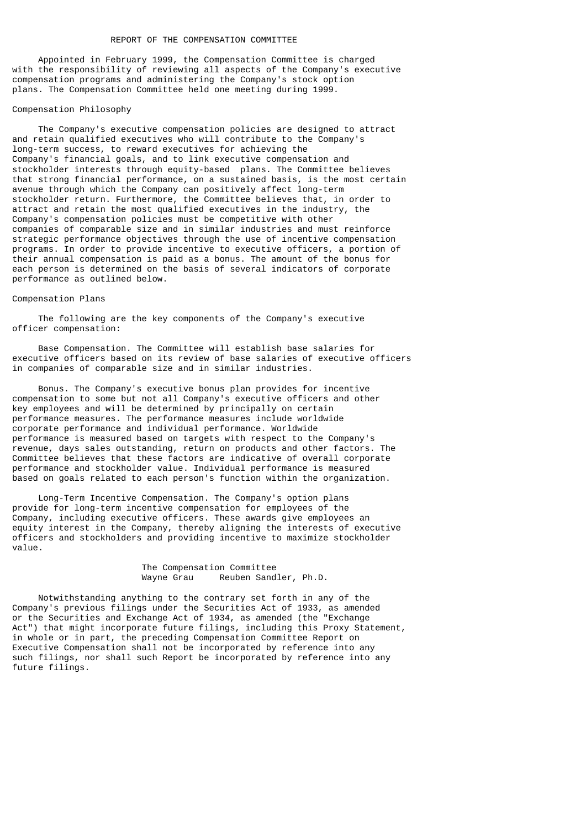Appointed in February 1999, the Compensation Committee is charged with the responsibility of reviewing all aspects of the Company's executive compensation programs and administering the Company's stock option plans. The Compensation Committee held one meeting during 1999.

#### Compensation Philosophy

 The Company's executive compensation policies are designed to attract and retain qualified executives who will contribute to the Company's long-term success, to reward executives for achieving the Company's financial goals, and to link executive compensation and stockholder interests through equity-based plans. The Committee believes that strong financial performance, on a sustained basis, is the most certain avenue through which the Company can positively affect long-term stockholder return. Furthermore, the Committee believes that, in order to attract and retain the most qualified executives in the industry, the Company's compensation policies must be competitive with other companies of comparable size and in similar industries and must reinforce strategic performance objectives through the use of incentive compensation programs. In order to provide incentive to executive officers, a portion of their annual compensation is paid as a bonus. The amount of the bonus for each person is determined on the basis of several indicators of corporate performance as outlined below.

#### Compensation Plans

 The following are the key components of the Company's executive officer compensation:

 Base Compensation. The Committee will establish base salaries for executive officers based on its review of base salaries of executive officers in companies of comparable size and in similar industries.

 Bonus. The Company's executive bonus plan provides for incentive compensation to some but not all Company's executive officers and other key employees and will be determined by principally on certain performance measures. The performance measures include worldwide corporate performance and individual performance. Worldwide performance is measured based on targets with respect to the Company's revenue, days sales outstanding, return on products and other factors. The Committee believes that these factors are indicative of overall corporate performance and stockholder value. Individual performance is measured based on goals related to each person's function within the organization.

 Long-Term Incentive Compensation. The Company's option plans provide for long-term incentive compensation for employees of the Company, including executive officers. These awards give employees an equity interest in the Company, thereby aligning the interests of executive officers and stockholders and providing incentive to maximize stockholder value.

# The Compensation Committee<br>Wayne Grau Reuben Sand Reuben Sandler, Ph.D.

 Notwithstanding anything to the contrary set forth in any of the Company's previous filings under the Securities Act of 1933, as amended or the Securities and Exchange Act of 1934, as amended (the "Exchange Act") that might incorporate future filings, including this Proxy Statement, in whole or in part, the preceding Compensation Committee Report on Executive Compensation shall not be incorporated by reference into any such filings, nor shall such Report be incorporated by reference into any future filings.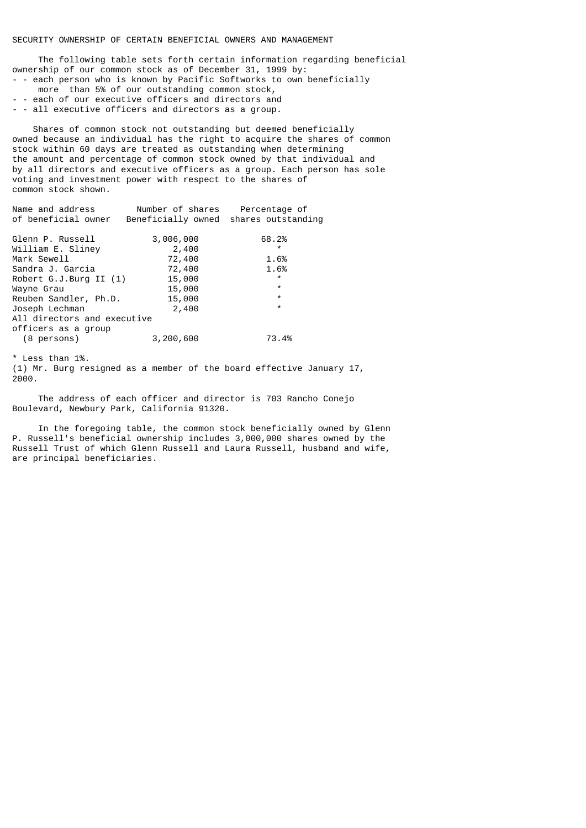The following table sets forth certain information regarding beneficial ownership of our common stock as of December 31, 1999 by: - - each person who is known by Pacific Softworks to own beneficially

- more than 5% of our outstanding common stock,
- - each of our executive officers and directors and
- - all executive officers and directors as a group.

 Shares of common stock not outstanding but deemed beneficially owned because an individual has the right to acquire the shares of common stock within 60 days are treated as outstanding when determining the amount and percentage of common stock owned by that individual and by all directors and executive officers as a group. Each person has sole voting and investment power with respect to the shares of common stock shown.

| Name and address<br>of beneficial owner | Number of shares<br>Beneficially owned | Percentage of<br>shares outstanding |
|-----------------------------------------|----------------------------------------|-------------------------------------|
|                                         |                                        |                                     |
| Glenn P. Russell                        | 3,006,000                              | 68.2%                               |
| William E. Sliney                       | 2,400                                  | $\star$                             |
| Mark Sewell                             | 72,400                                 | 1.6%                                |
| Sandra J. Garcia                        | 72,400                                 | 1.6%                                |
| Robert $G.J.Burg II (1)$                | 15,000                                 | $\star$                             |
| Wayne Grau                              | 15,000                                 | $\star$                             |
| Reuben Sandler, Ph.D.                   | 15,000                                 | $\star$                             |
| Joseph Lechman                          | 2,400                                  | $\star$                             |
| All directors and executive             |                                        |                                     |
| officers as a group                     |                                        |                                     |
| (8 persons)                             | 3,200,600                              | 73.4%                               |

\* Less than 1%.

(1) Mr. Burg resigned as a member of the board effective January 17, 2000.

 The address of each officer and director is 703 Rancho Conejo Boulevard, Newbury Park, California 91320.

 In the foregoing table, the common stock beneficially owned by Glenn P. Russell's beneficial ownership includes 3,000,000 shares owned by the Russell Trust of which Glenn Russell and Laura Russell, husband and wife, are principal beneficiaries.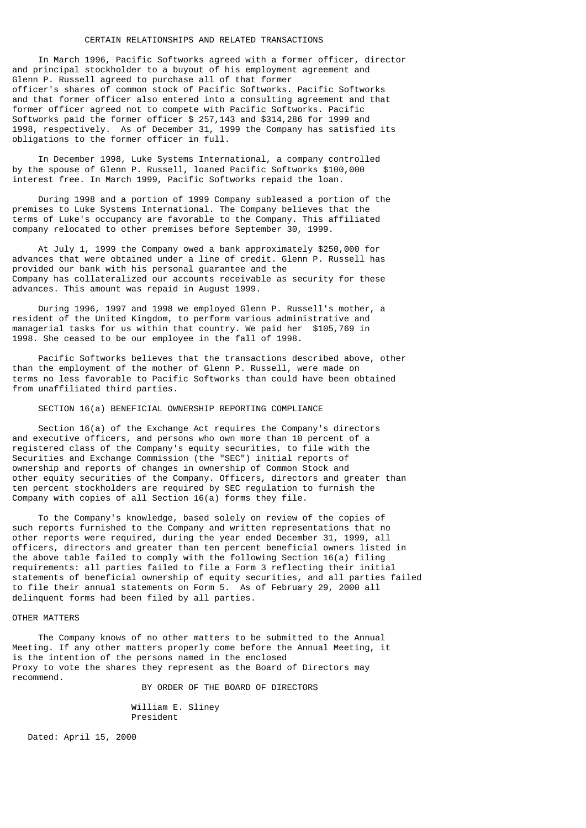## CERTAIN RELATIONSHIPS AND RELATED TRANSACTIONS

 In March 1996, Pacific Softworks agreed with a former officer, director and principal stockholder to a buyout of his employment agreement and Glenn P. Russell agreed to purchase all of that former officer's shares of common stock of Pacific Softworks. Pacific Softworks and that former officer also entered into a consulting agreement and that former officer agreed not to compete with Pacific Softworks. Pacific Softworks paid the former officer \$ 257,143 and \$314,286 for 1999 and 1998, respectively. As of December 31, 1999 the Company has satisfied its obligations to the former officer in full.

 In December 1998, Luke Systems International, a company controlled by the spouse of Glenn P. Russell, loaned Pacific Softworks \$100,000 interest free. In March 1999, Pacific Softworks repaid the loan.

 During 1998 and a portion of 1999 Company subleased a portion of the premises to Luke Systems International. The Company believes that the terms of Luke's occupancy are favorable to the Company. This affiliated company relocated to other premises before September 30, 1999.

 At July 1, 1999 the Company owed a bank approximately \$250,000 for advances that were obtained under a line of credit. Glenn P. Russell has provided our bank with his personal guarantee and the Company has collateralized our accounts receivable as security for these advances. This amount was repaid in August 1999.

 During 1996, 1997 and 1998 we employed Glenn P. Russell's mother, a resident of the United Kingdom, to perform various administrative and managerial tasks for us within that country. We paid her \$105,769 in 1998. She ceased to be our employee in the fall of 1998.

 Pacific Softworks believes that the transactions described above, other than the employment of the mother of Glenn P. Russell, were made on terms no less favorable to Pacific Softworks than could have been obtained from unaffiliated third parties.

#### SECTION 16(a) BENEFICIAL OWNERSHIP REPORTING COMPLIANCE

 Section 16(a) of the Exchange Act requires the Company's directors and executive officers, and persons who own more than 10 percent of a registered class of the Company's equity securities, to file with the Securities and Exchange Commission (the "SEC") initial reports of ownership and reports of changes in ownership of Common Stock and other equity securities of the Company. Officers, directors and greater than ten percent stockholders are required by SEC regulation to furnish the Company with copies of all Section 16(a) forms they file.

 To the Company's knowledge, based solely on review of the copies of such reports furnished to the Company and written representations that no other reports were required, during the year ended December 31, 1999, all officers, directors and greater than ten percent beneficial owners listed in the above table failed to comply with the following Section 16(a) filing requirements: all parties failed to file a Form 3 reflecting their initial statements of beneficial ownership of equity securities, and all parties failed to file their annual statements on Form 5. As of February 29, 2000 all delinquent forms had been filed by all parties.

## OTHER MATTERS

 The Company knows of no other matters to be submitted to the Annual Meeting. If any other matters properly come before the Annual Meeting, it is the intention of the persons named in the enclosed Proxy to vote the shares they represent as the Board of Directors may recommend.

BY ORDER OF THE BOARD OF DIRECTORS

 William E. Sliney President

Dated: April 15, 2000